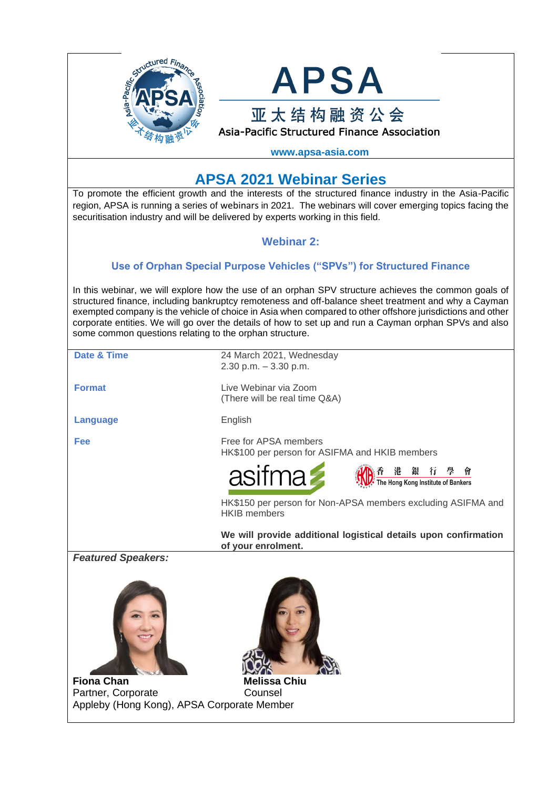



**www.apsa-asia.com**

# **APSA 2021 Webinar Series**

To promote the efficient growth and the interests of the structured finance industry in the Asia-Pacific region, APSA is running a series of webinars in 2021. The webinars will cover emerging topics facing the securitisation industry and will be delivered by experts working in this field.

# **Webinar 2:**

# **[Use of Orphan Special Purpose Vehicles \("SPVs"\) for Structured Finance](https://gbr01.safelinks.protection.outlook.com/?url=http%3A%2F%2Fimn.msgfocus.com%2Fc%2F12go6VxLSwoihqouaARPtrqlmR4i&data=02%7C01%7Cjames.pedley%40simmons-simmons.com%7C254b2fc7c8014695452a08d80e17702e%7C9c0035ef4799443f8b14c5d60303e8cd%7C0%7C0%7C637274841118762751&sdata=mSJX%2FVOXZar8hi439nPU2cXiuNMIWdE8AnPvBL0mbSA%3D&reserved=0)**

In this webinar, we will explore how the use of an orphan SPV structure achieves the common goals of structured finance, including bankruptcy remoteness and off-balance sheet treatment and why a Cayman exempted company is the vehicle of choice in Asia when compared to other offshore jurisdictions and other corporate entities. We will go over the details of how to set up and run a Cayman orphan SPVs and also some common questions relating to the orphan structure.

| <b>Date &amp; Time</b>                                           | 24 March 2021, Wednesday<br>2.30 p.m. $-3.30$ p.m.                                    |
|------------------------------------------------------------------|---------------------------------------------------------------------------------------|
| <b>Format</b>                                                    | Live Webinar via Zoom<br>(There will be real time Q&A)                                |
| <b>Language</b>                                                  | English                                                                               |
| Fee                                                              | Free for APSA members<br>HK\$100 per person for ASIFMA and HKIB members               |
|                                                                  | asifma 2<br>◎ 香 港 銀 行 學 曾<br>• The Hong Kong Institute of Bankers                     |
|                                                                  | HK\$150 per person for Non-APSA members excluding ASIFMA and<br><b>HKIB</b> members   |
|                                                                  | We will provide additional logistical details upon confirmation<br>of your enrolment. |
| <b>Featured Speakers:</b><br><b>Fiona Chan</b>                   | <b>Melissa Chiu</b>                                                                   |
| Partner, Corporate<br>Appleby (Hong Kong), APSA Corporate Member | Counsel                                                                               |